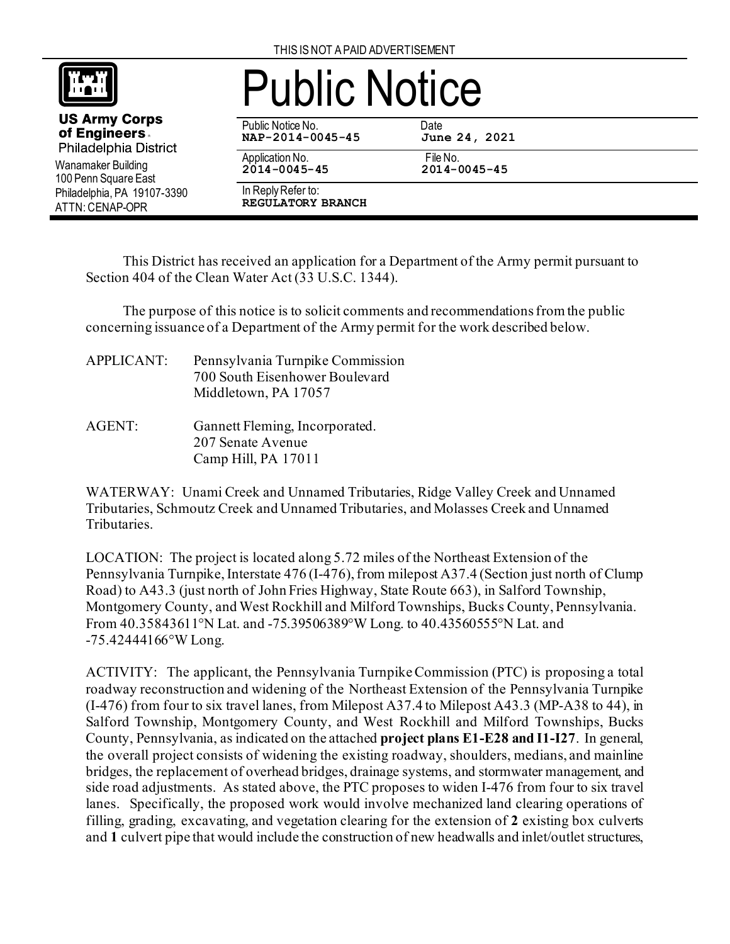

Wanamaker Building 100 Penn Square East Philadelphia, PA 19107-3390

**US Army Corps** of Engineers. Philadelphia District

ATTN: CENAP-OPR

## Public Notice

Public Notice No. 69. Date<br>1992 - NAP-2014-0045-45 June 24, 2021 **NAP-2014-0045-45** 

Application No. File No.

**2014-0045-45 2014-0045-45** 

In Reply Refer to:

**REGULATORY BRANCH**

This District has received an application for a Department of the Army permit pursuant to Section 404 of the Clean Water Act (33 U.S.C. 1344).

The purpose of this notice is to solicit comments and recommendations from the public concerning issuance of a Department of the Army permit for the work described below.

| <b>APPLICANT:</b> | Pennsylvania Turnpike Commission<br>700 South Eisenhower Boulevard<br>Middletown, PA 17057 |
|-------------------|--------------------------------------------------------------------------------------------|
| AGENT:            | Gannett Fleming, Incorporated.<br>207 Senate Avenue<br>Camp Hill, PA 17011                 |

WATERWAY: Unami Creek and Unnamed Tributaries, Ridge Valley Creek and Unnamed Tributaries, Schmoutz Creek and Unnamed Tributaries, and Molasses Creek and Unnamed Tributaries.

LOCATION: The project is located along 5.72 miles of the Northeast Extension of the Pennsylvania Turnpike, Interstate 476 (I-476), from milepost A37.4 (Section just north of Clump Road) to A43.3 (just north of John Fries Highway, State Route 663), in Salford Township, Montgomery County, and West Rockhill and Milford Townships, Bucks County, Pennsylvania. From 40.35843611°N Lat. and -75.39506389°W Long. to 40.43560555°N Lat. and -75.42444166°W Long.

ACTIVITY: The applicant, the Pennsylvania Turnpike Commission (PTC) is proposing a total roadway reconstruction and widening of the Northeast Extension of the Pennsylvania Turnpike (I-476) from four to six travel lanes, from Milepost A37.4 to Milepost A43.3 (MP-A38 to 44), in Salford Township, Montgomery County, and West Rockhill and Milford Townships, Bucks County, Pennsylvania, as indicated on the attached **project plans E1-E28 and I1-I27**. In general, the overall project consists of widening the existing roadway, shoulders, medians, and mainline bridges, the replacement of overhead bridges, drainage systems, and stormwater management, and side road adjustments. As stated above, the PTC proposes to widen I-476 from four to six travel lanes. Specifically, the proposed work would involve mechanized land clearing operations of filling, grading, excavating, and vegetation clearing for the extension of **2** existing box culverts and **1** culvert pipe that would include the construction of new headwalls and inlet/outlet structures,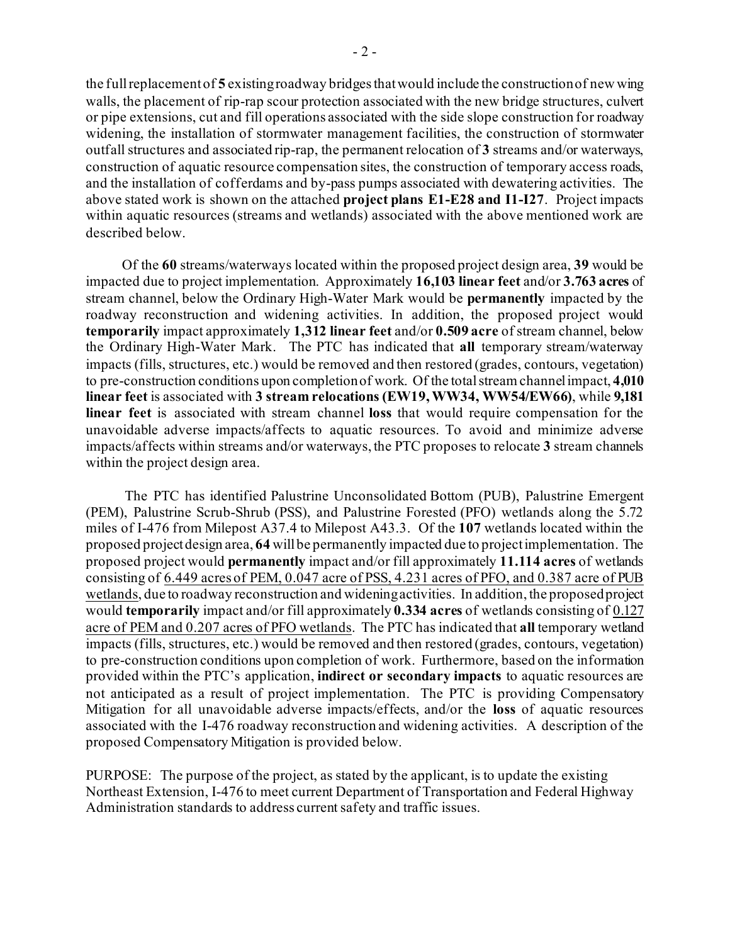the full replacement of **5** existing roadway bridges that would include the construction of new wing walls, the placement of rip-rap scour protection associated with the new bridge structures, culvert or pipe extensions, cut and fill operations associated with the side slope construction for roadway widening, the installation of stormwater management facilities, the construction of stormwater outfall structures and associated rip-rap, the permanent relocation of **3** streams and/or waterways, construction of aquatic resource compensation sites, the construction of temporary access roads, and the installation of cofferdams and by-pass pumps associated with dewatering activities. The above stated work is shown on the attached **project plans E1-E28 and I1-I27**. Project impacts within aquatic resources (streams and wetlands) associated with the above mentioned work are described below.

 Of the **60** streams/waterways located within the proposed project design area, **39** would be impacted due to project implementation. Approximately **16,103 linear feet** and/or **3.763 acres** of stream channel, below the Ordinary High-Water Mark would be **permanently** impacted by the roadway reconstruction and widening activities. In addition, the proposed project would **temporarily** impact approximately **1,312 linear feet** and/or **0.509 acre** of stream channel, below the Ordinary High-Water Mark. The PTC has indicated that **all** temporary stream/waterway impacts (fills, structures, etc.) would be removed and then restored (grades, contours, vegetation) to pre-construction conditions upon completion of work. Of the total stream channel impact, **4,010 linear feet** is associated with **3 stream relocations (EW19, WW34, WW54/EW66)**, while **9,181 linear feet** is associated with stream channel **loss** that would require compensation for the unavoidable adverse impacts/affects to aquatic resources. To avoid and minimize adverse impacts/affects within streams and/or waterways, the PTC proposes to relocate **3** stream channels within the project design area.

 The PTC has identified Palustrine Unconsolidated Bottom (PUB), Palustrine Emergent (PEM), Palustrine Scrub-Shrub (PSS), and Palustrine Forested (PFO) wetlands along the 5.72 miles of I-476 from Milepost A37.4 to Milepost A43.3. Of the **107** wetlands located within the proposed project design area, **64** will be permanently impacted due to project implementation. The proposed project would **permanently** impact and/or fill approximately **11.114 acres** of wetlands consisting of 6.449 acres of PEM, 0.047 acre of PSS, 4.231 acres of PFO, and 0.387 acre of PUB wetlands, due to roadway reconstruction and widening activities. In addition, the proposed project would **temporarily** impact and/or fill approximately **0.334 acres** of wetlands consisting of 0.127 acre of PEM and 0.207 acres of PFO wetlands. The PTC has indicated that **all** temporary wetland impacts (fills, structures, etc.) would be removed and then restored (grades, contours, vegetation) to pre-construction conditions upon completion of work. Furthermore, based on the information provided within the PTC's application, **indirect or secondary impacts** to aquatic resources are not anticipated as a result of project implementation. The PTC is providing Compensatory Mitigation for all unavoidable adverse impacts/effects, and/or the **loss** of aquatic resources associated with the I-476 roadway reconstruction and widening activities. A description of the proposed Compensatory Mitigation is provided below.

PURPOSE: The purpose of the project, as stated by the applicant, is to update the existing Northeast Extension, I-476 to meet current Department of Transportation and Federal Highway Administration standards to address current safety and traffic issues.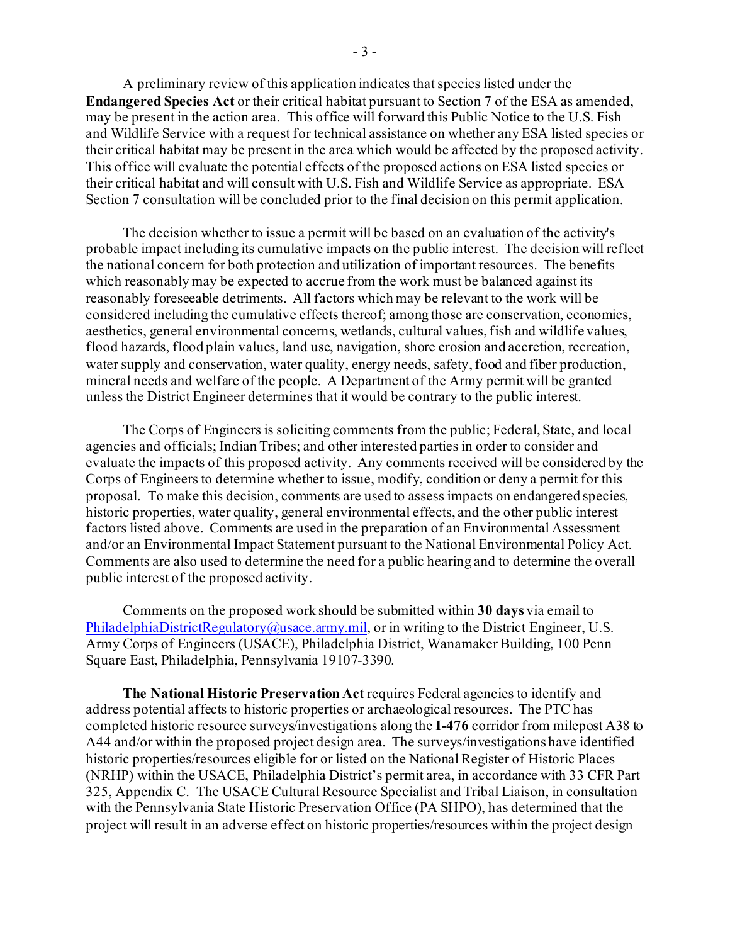A preliminary review of this application indicates that species listed under the **Endangered Species Act** or their critical habitat pursuant to Section 7 of the ESA as amended, may be present in the action area. This office will forward this Public Notice to the U.S. Fish and Wildlife Service with a request for technical assistance on whether any ESA listed species or their critical habitat may be present in the area which would be affected by the proposed activity. This office will evaluate the potential effects of the proposed actions on ESA listed species or their critical habitat and will consult with U.S. Fish and Wildlife Service as appropriate. ESA Section 7 consultation will be concluded prior to the final decision on this permit application.

The decision whether to issue a permit will be based on an evaluation of the activity's probable impact including its cumulative impacts on the public interest. The decision will reflect the national concern for both protection and utilization of important resources. The benefits which reasonably may be expected to accrue from the work must be balanced against its reasonably foreseeable detriments. All factors which may be relevant to the work will be considered including the cumulative effects thereof; among those are conservation, economics, aesthetics, general environmental concerns, wetlands, cultural values, fish and wildlife values, flood hazards, flood plain values, land use, navigation, shore erosion and accretion, recreation, water supply and conservation, water quality, energy needs, safety, food and fiber production, mineral needs and welfare of the people. A Department of the Army permit will be granted unless the District Engineer determines that it would be contrary to the public interest.

The Corps of Engineers is soliciting comments from the public; Federal, State, and local agencies and officials; Indian Tribes; and other interested parties in order to consider and evaluate the impacts of this proposed activity. Any comments received will be considered by the Corps of Engineers to determine whether to issue, modify, condition or deny a permit for this proposal. To make this decision, comments are used to assess impacts on endangered species, historic properties, water quality, general environmental effects, and the other public interest factors listed above. Comments are used in the preparation of an Environmental Assessment and/or an Environmental Impact Statement pursuant to the National Environmental Policy Act. Comments are also used to determine the need for a public hearing and to determine the overall public interest of the proposed activity.

Comments on the proposed work should be submitted within **30 days** via email to PhiladelphiaDistrictRegulatory@usace.army.mil, or in writing to the District Engineer, U.S. Army Corps of Engineers (USACE), Philadelphia District, Wanamaker Building, 100 Penn Square East, Philadelphia, Pennsylvania 19107-3390.

**The National Historic Preservation Act** requires Federal agencies to identify and address potential affects to historic properties or archaeological resources. The PTC has completed historic resource surveys/investigations along the **I-476** corridor from milepost A38 to A44 and/or within the proposed project design area. The surveys/investigations have identified historic properties/resources eligible for or listed on the National Register of Historic Places (NRHP) within the USACE, Philadelphia District's permit area, in accordance with 33 CFR Part 325, Appendix C. The USACE Cultural Resource Specialist and Tribal Liaison, in consultation with the Pennsylvania State Historic Preservation Office (PA SHPO), has determined that the project will result in an adverse effect on historic properties/resources within the project design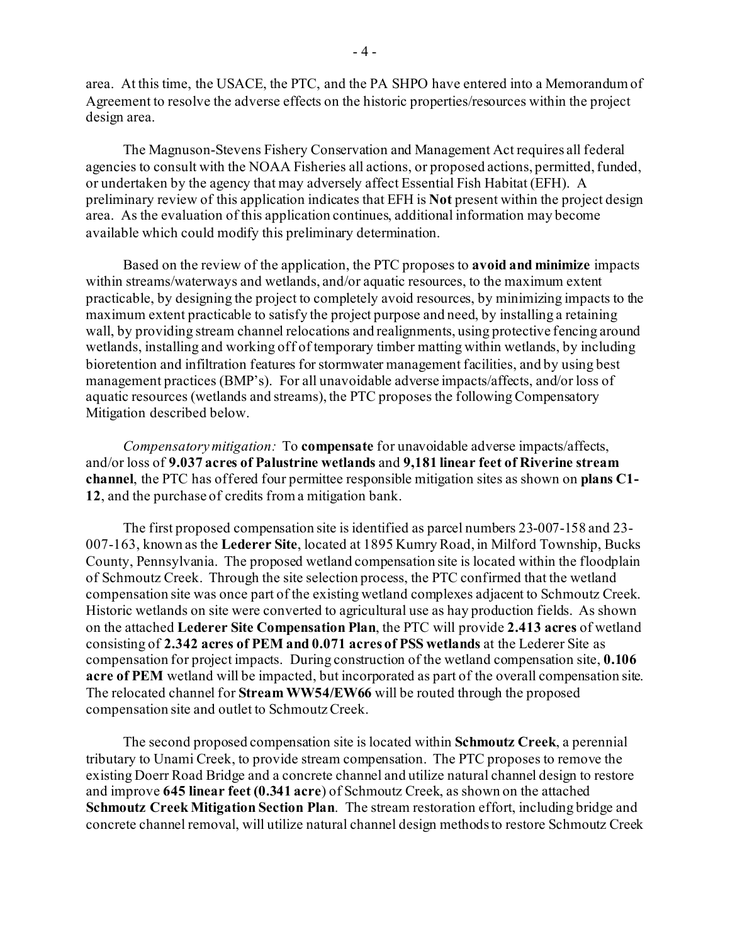area. At this time, the USACE, the PTC, and the PA SHPO have entered into a Memorandum of Agreement to resolve the adverse effects on the historic properties/resources within the project design area.

The Magnuson‐Stevens Fishery Conservation and Management Act requires all federal agencies to consult with the NOAA Fisheries all actions, or proposed actions, permitted, funded, or undertaken by the agency that may adversely affect Essential Fish Habitat (EFH). A preliminary review of this application indicates that EFH is **Not** present within the project design area. As the evaluation of this application continues, additional information may become available which could modify this preliminary determination.

Based on the review of the application, the PTC proposes to **avoid and minimize** impacts within streams/waterways and wetlands, and/or aquatic resources, to the maximum extent practicable, by designing the project to completely avoid resources, by minimizing impacts to the maximum extent practicable to satisfy the project purpose and need, by installing a retaining wall, by providing stream channel relocations and realignments, using protective fencing around wetlands, installing and working off of temporary timber matting within wetlands, by including bioretention and infiltration features for stormwater management facilities, and by using best management practices (BMP's). For all unavoidable adverse impacts/affects, and/or loss of aquatic resources (wetlands and streams), the PTC proposes the following Compensatory Mitigation described below.

*Compensatory mitigation:* To **compensate** for unavoidable adverse impacts/affects, and/or loss of **9.037 acres of Palustrine wetlands** and **9,181 linear feet of Riverine stream channel**, the PTC has offered four permittee responsible mitigation sites as shown on **plans C1- 12**, and the purchase of credits from a mitigation bank.

The first proposed compensation site is identified as parcel numbers 23-007-158 and 23- 007-163, known as the **Lederer Site**, located at 1895 Kumry Road, in Milford Township, Bucks County, Pennsylvania. The proposed wetland compensation site is located within the floodplain of Schmoutz Creek. Through the site selection process, the PTC confirmed that the wetland compensation site was once part of the existing wetland complexes adjacent to Schmoutz Creek. Historic wetlands on site were converted to agricultural use as hay production fields. As shown on the attached **Lederer Site Compensation Plan**, the PTC will provide **2.413 acres** of wetland consisting of **2.342 acres of PEM and 0.071 acres of PSS wetlands** at the Lederer Site as compensation for project impacts. During construction of the wetland compensation site, **0.106 acre of PEM** wetland will be impacted, but incorporated as part of the overall compensation site. The relocated channel for **Stream WW54/EW66** will be routed through the proposed compensation site and outlet to Schmoutz Creek.

The second proposed compensation site is located within **Schmoutz Creek**, a perennial tributary to Unami Creek, to provide stream compensation. The PTC proposes to remove the existing Doerr Road Bridge and a concrete channel and utilize natural channel design to restore and improve **645 linear feet (0.341 acre**) of Schmoutz Creek, as shown on the attached **Schmoutz Creek Mitigation Section Plan**. The stream restoration effort, including bridge and concrete channel removal, will utilize natural channel design methods to restore Schmoutz Creek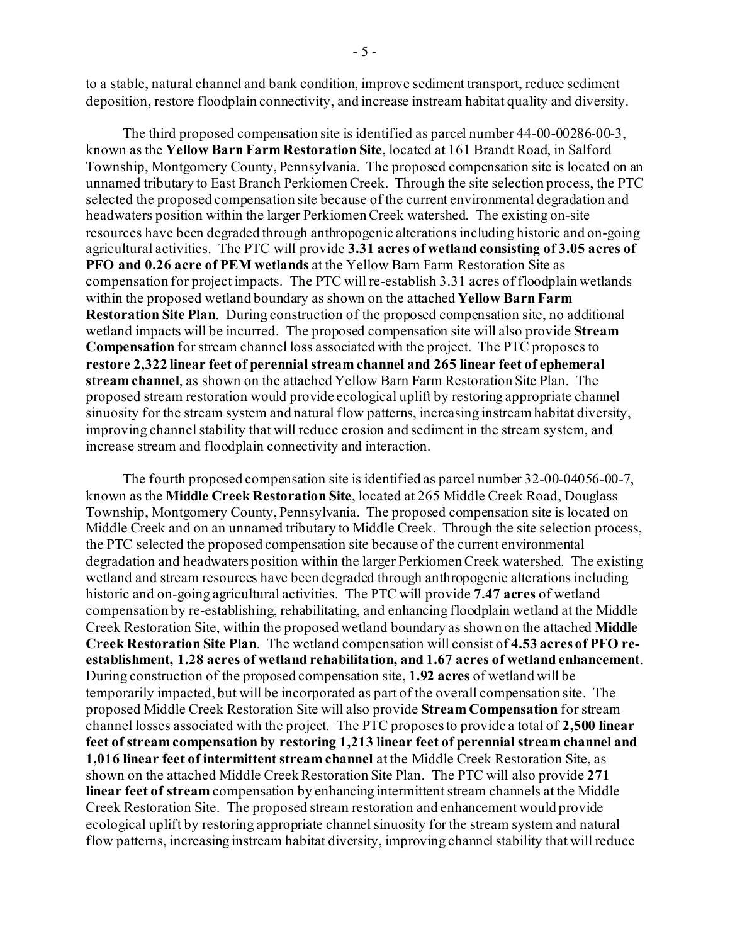to a stable, natural channel and bank condition, improve sediment transport, reduce sediment deposition, restore floodplain connectivity, and increase instream habitat quality and diversity.

The third proposed compensation site is identified as parcel number 44-00-00286-00-3, known as the **Yellow Barn Farm Restoration Site**, located at 161 Brandt Road, in Salford Township, Montgomery County, Pennsylvania. The proposed compensation site is located on an unnamed tributary to East Branch Perkiomen Creek. Through the site selection process, the PTC selected the proposed compensation site because of the current environmental degradation and headwaters position within the larger Perkiomen Creek watershed. The existing on-site resources have been degraded through anthropogenic alterations including historic and on-going agricultural activities. The PTC will provide **3.31 acres of wetland consisting of 3.05 acres of PFO and 0.26 acre of PEM wetlands** at the Yellow Barn Farm Restoration Site as compensation for project impacts. The PTC will re-establish 3.31 acres of floodplain wetlands within the proposed wetland boundary as shown on the attached **Yellow Barn Farm Restoration Site Plan**. During construction of the proposed compensation site, no additional wetland impacts will be incurred. The proposed compensation site will also provide **Stream Compensation** for stream channel loss associated with the project. The PTC proposes to **restore 2,322 linear feet of perennial stream channel and 265 linear feet of ephemeral stream channel**, as shown on the attached Yellow Barn Farm Restoration Site Plan. The proposed stream restoration would provide ecological uplift by restoring appropriate channel sinuosity for the stream system and natural flow patterns, increasing instream habitat diversity, improving channel stability that will reduce erosion and sediment in the stream system, and increase stream and floodplain connectivity and interaction.

The fourth proposed compensation site is identified as parcel number 32-00-04056-00-7, known as the **Middle Creek Restoration Site**, located at 265 Middle Creek Road, Douglass Township, Montgomery County, Pennsylvania. The proposed compensation site is located on Middle Creek and on an unnamed tributary to Middle Creek. Through the site selection process, the PTC selected the proposed compensation site because of the current environmental degradation and headwaters position within the larger Perkiomen Creek watershed. The existing wetland and stream resources have been degraded through anthropogenic alterations including historic and on-going agricultural activities. The PTC will provide **7.47 acres** of wetland compensation by re-establishing, rehabilitating, and enhancing floodplain wetland at the Middle Creek Restoration Site, within the proposed wetland boundary as shown on the attached **Middle Creek Restoration Site Plan**. The wetland compensation will consist of **4.53 acres of PFO reestablishment, 1.28 acres of wetland rehabilitation, and 1.67 acres of wetland enhancement**. During construction of the proposed compensation site, **1.92 acres** of wetland will be temporarily impacted, but will be incorporated as part of the overall compensation site. The proposed Middle Creek Restoration Site will also provide **Stream Compensation** for stream channel losses associated with the project. The PTC proposes to provide a total of **2,500 linear feet of stream compensation by restoring 1,213 linear feet of perennial stream channel and 1,016 linear feet of intermittent stream channel** at the Middle Creek Restoration Site, as shown on the attached Middle Creek Restoration Site Plan. The PTC will also provide **271 linear feet of stream** compensation by enhancing intermittent stream channels at the Middle Creek Restoration Site. The proposed stream restoration and enhancement would provide ecological uplift by restoring appropriate channel sinuosity for the stream system and natural flow patterns, increasing instream habitat diversity, improving channel stability that will reduce